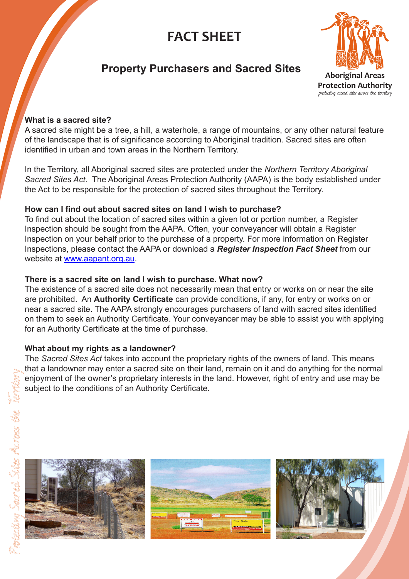# **FACT SHEET**



# **Property Purchasers and Sacred Sites**

# **What is a sacred site?**

A sacred site might be a tree, a hill, a waterhole, a range of mountains, or any other natural feature of the landscape that is of significance according to Aboriginal tradition. Sacred sites are often identified in urban and town areas in the Northern Territory.

In the Territory, all Aboriginal sacred sites are protected under the *Northern Territory Aboriginal Sacred Sites Act*. The Aboriginal Areas Protection Authority (AAPA) is the body established under the Act to be responsible for the protection of sacred sites throughout the Territory.

#### **How can I find out about sacred sites on land I wish to purchase?**

To find out about the location of sacred sites within a given lot or portion number, a Register Inspection should be sought from the AAPA. Often, your conveyancer will obtain a Register Inspection on your behalf prior to the purchase of a property. For more information on Register Inspections, please contact the AAPA or download a *Register Inspection Fact Sheet* from our website at www.aapant.org.au.

## **There is a sacred site on land I wish to purchase. What now?**

The existence of a sacred site does not necessarily mean that entry or works on or near the site are prohibited. An **Authority Certificate** can provide conditions, if any, for entry or works on or near a sacred site. The AAPA strongly encourages purchasers of land with sacred sites identified on them to seek an Authority Certificate. Your conveyancer may be able to assist you with applying for an Authority Certificate at the time of purchase.

#### **What about my rights as a landowner?**

The *Sacred Sites Act* takes into account the proprietary rights of the owners of land. This means that a landowner may enter a sacred site on their land, remain on it and do anything for the normal enjoyment of the owner's proprietary interests in the land. However, right of entry and use may be subject to the conditions of an Authority Certificate.